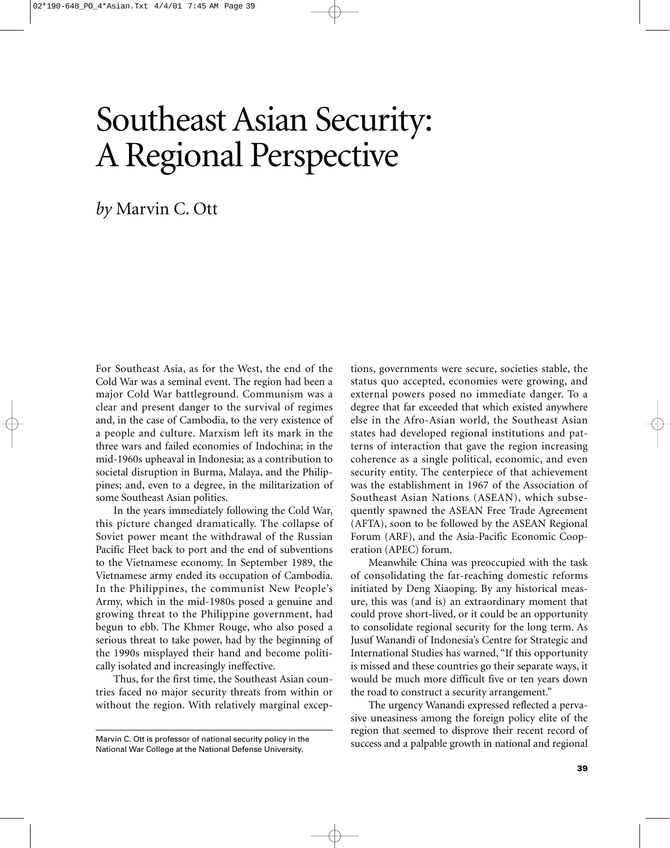# Southeast Asian Security: A Regional Perspective

*by* Marvin C. Ott

For Southeast Asia, as for the West, the end of the Cold War was a seminal event. The region had been a major Cold War battleground. Communism was a clear and present danger to the survival of regimes and, in the case of Cambodia, to the very existence of a people and culture. Marxism left its mark in the three wars and failed economies of Indochina; in the mid-1960s upheaval in Indonesia; as a contribution to societal disruption in Burma, Malaya, and the Philippines; and, even to a degree, in the militarization of some Southeast Asian polities.

In the years immediately following the Cold War, this picture changed dramatically. The collapse of Soviet power meant the withdrawal of the Russian Pacific Fleet back to port and the end of subventions to the Vietnamese economy. In September 1989, the Vietnamese army ended its occupation of Cambodia. In the Philippines, the communist New People's Army, which in the mid-1980s posed a genuine and growing threat to the Philippine government, had begun to ebb. The Khmer Rouge, who also posed a serious threat to take power, had by the beginning of the 1990s misplayed their hand and become politically isolated and increasingly ineffective.

Thus, for the first time, the Southeast Asian countries faced no major security threats from within or without the region. With relatively marginal exceptions, governments were secure, societies stable, the status quo accepted, economies were growing, and external powers posed no immediate danger. To a degree that far exceeded that which existed anywhere else in the Afro-Asian world, the Southeast Asian states had developed regional institutions and patterns of interaction that gave the region increasing coherence as a single political, economic, and even security entity. The centerpiece of that achievement was the establishment in 1967 of the Association of Southeast Asian Nations (ASEAN), which subsequently spawned the ASEAN Free Trade Agreement (AFTA), soon to be followed by the ASEAN Regional Forum (ARF), and the Asia-Pacific Economic Cooperation (APEC) forum.

Meanwhile China was preoccupied with the task of consolidating the far-reaching domestic reforms initiated by Deng Xiaoping. By any historical measure, this was (and is) an extraordinary moment that could prove short-lived, or it could be an opportunity to consolidate regional security for the long term. As Jusuf Wanandi of Indonesia's Centre for Strategic and International Studies has warned, "If this opportunity is missed and these countries go their separate ways, it would be much more difficult five or ten years down the road to construct a security arrangement."

The urgency Wanandi expressed reflected a pervasive uneasiness among the foreign policy elite of the region that seemed to disprove their recent record of success and a palpable growth in national and regional

Marvin C. Ott is professor of national security policy in the National War College at the National Defense University.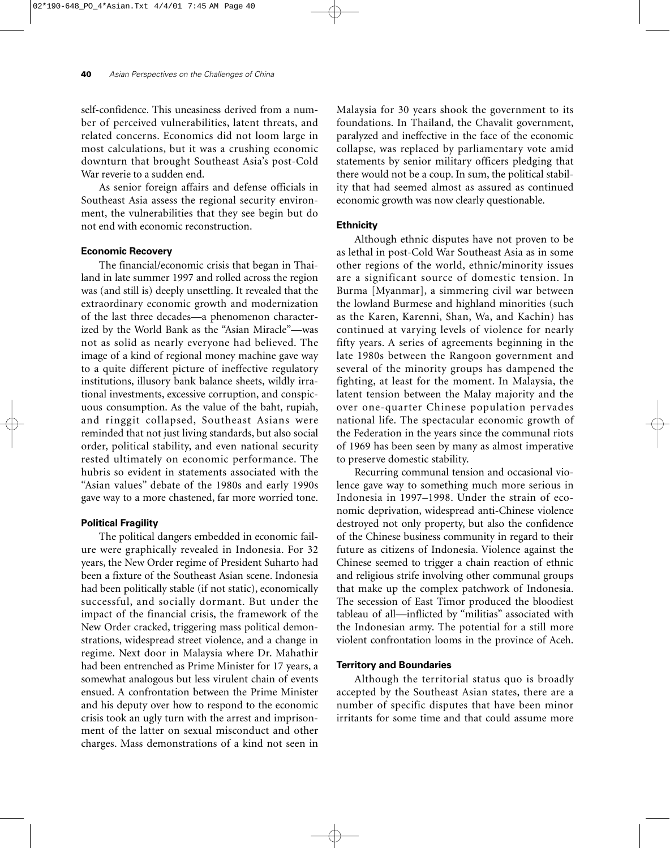self-confidence. This uneasiness derived from a number of perceived vulnerabilities, latent threats, and related concerns. Economics did not loom large in most calculations, but it was a crushing economic downturn that brought Southeast Asia's post-Cold War reverie to a sudden end.

As senior foreign affairs and defense officials in Southeast Asia assess the regional security environment, the vulnerabilities that they see begin but do not end with economic reconstruction.

## **Economic Recovery**

The financial/economic crisis that began in Thailand in late summer 1997 and rolled across the region was (and still is) deeply unsettling. It revealed that the extraordinary economic growth and modernization of the last three decades—a phenomenon characterized by the World Bank as the "Asian Miracle"—was not as solid as nearly everyone had believed. The image of a kind of regional money machine gave way to a quite different picture of ineffective regulatory institutions, illusory bank balance sheets, wildly irrational investments, excessive corruption, and conspicuous consumption. As the value of the baht, rupiah, and ringgit collapsed, Southeast Asians were reminded that not just living standards, but also social order, political stability, and even national security rested ultimately on economic performance. The hubris so evident in statements associated with the "Asian values" debate of the 1980s and early 1990s gave way to a more chastened, far more worried tone.

## **Political Fragility**

The political dangers embedded in economic failure were graphically revealed in Indonesia. For 32 years, the New Order regime of President Suharto had been a fixture of the Southeast Asian scene. Indonesia had been politically stable (if not static), economically successful, and socially dormant. But under the impact of the financial crisis, the framework of the New Order cracked, triggering mass political demonstrations, widespread street violence, and a change in regime. Next door in Malaysia where Dr. Mahathir had been entrenched as Prime Minister for 17 years, a somewhat analogous but less virulent chain of events ensued. A confrontation between the Prime Minister and his deputy over how to respond to the economic crisis took an ugly turn with the arrest and imprisonment of the latter on sexual misconduct and other charges. Mass demonstrations of a kind not seen in

Malaysia for 30 years shook the government to its foundations. In Thailand, the Chavalit government, paralyzed and ineffective in the face of the economic collapse, was replaced by parliamentary vote amid statements by senior military officers pledging that there would not be a coup. In sum, the political stability that had seemed almost as assured as continued economic growth was now clearly questionable.

# **Ethnicity**

Although ethnic disputes have not proven to be as lethal in post-Cold War Southeast Asia as in some other regions of the world, ethnic/minority issues are a significant source of domestic tension. In Burma [Myanmar], a simmering civil war between the lowland Burmese and highland minorities (such as the Karen, Karenni, Shan, Wa, and Kachin) has continued at varying levels of violence for nearly fifty years. A series of agreements beginning in the late 1980s between the Rangoon government and several of the minority groups has dampened the fighting, at least for the moment. In Malaysia, the latent tension between the Malay majority and the over one-quarter Chinese population pervades national life. The spectacular economic growth of the Federation in the years since the communal riots of 1969 has been seen by many as almost imperative to preserve domestic stability.

Recurring communal tension and occasional violence gave way to something much more serious in Indonesia in 1997–1998. Under the strain of economic deprivation, widespread anti-Chinese violence destroyed not only property, but also the confidence of the Chinese business community in regard to their future as citizens of Indonesia. Violence against the Chinese seemed to trigger a chain reaction of ethnic and religious strife involving other communal groups that make up the complex patchwork of Indonesia. The secession of East Timor produced the bloodiest tableau of all—inflicted by "militias" associated with the Indonesian army. The potential for a still more violent confrontation looms in the province of Aceh.

## **Territory and Boundaries**

Although the territorial status quo is broadly accepted by the Southeast Asian states, there are a number of specific disputes that have been minor irritants for some time and that could assume more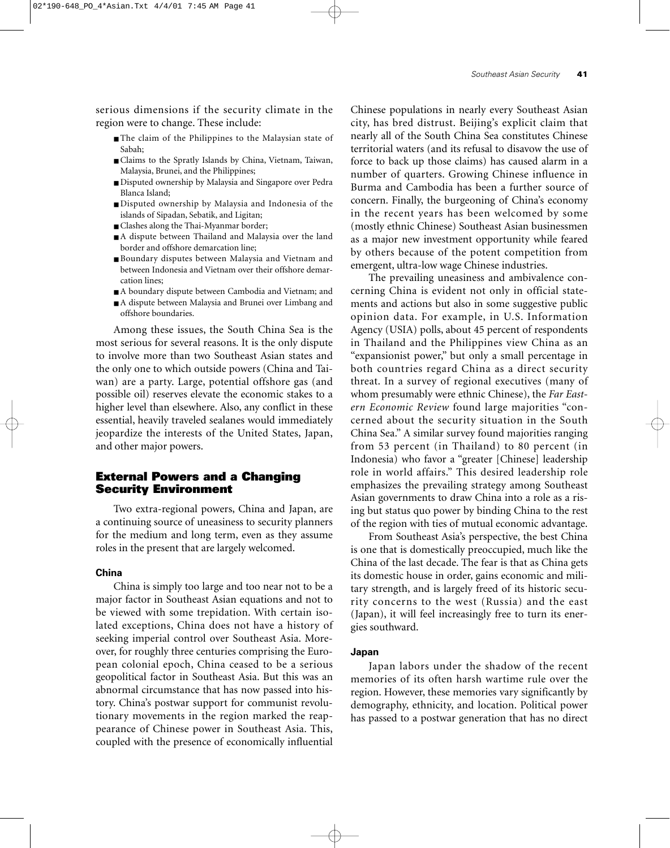serious dimensions if the security climate in the region were to change. These include:

- The claim of the Philippines to the Malaysian state of Sabah;
- Claims to the Spratly Islands by China, Vietnam, Taiwan, Malaysia, Brunei, and the Philippines;
- Disputed ownership by Malaysia and Singapore over Pedra Blanca Island;
- Disputed ownership by Malaysia and Indonesia of the islands of Sipadan, Sebatik, and Ligitan;
- Clashes along the Thai-Myanmar border;
- A dispute between Thailand and Malaysia over the land border and offshore demarcation line;
- Boundary disputes between Malaysia and Vietnam and between Indonesia and Vietnam over their offshore demarcation lines;
- A boundary dispute between Cambodia and Vietnam; and
- A dispute between Malaysia and Brunei over Limbang and offshore boundaries.

Among these issues, the South China Sea is the most serious for several reasons. It is the only dispute to involve more than two Southeast Asian states and the only one to which outside powers (China and Taiwan) are a party. Large, potential offshore gas (and possible oil) reserves elevate the economic stakes to a higher level than elsewhere. Also, any conflict in these essential, heavily traveled sealanes would immediately jeopardize the interests of the United States, Japan, and other major powers.

# **External Powers and a Changing Security Environment**

Two extra-regional powers, China and Japan, are a continuing source of uneasiness to security planners for the medium and long term, even as they assume roles in the present that are largely welcomed.

#### **China**

China is simply too large and too near not to be a major factor in Southeast Asian equations and not to be viewed with some trepidation. With certain isolated exceptions, China does not have a history of seeking imperial control over Southeast Asia. Moreover, for roughly three centuries comprising the European colonial epoch, China ceased to be a serious geopolitical factor in Southeast Asia. But this was an abnormal circumstance that has now passed into history. China's postwar support for communist revolutionary movements in the region marked the reappearance of Chinese power in Southeast Asia. This, coupled with the presence of economically influential

Chinese populations in nearly every Southeast Asian city, has bred distrust. Beijing's explicit claim that nearly all of the South China Sea constitutes Chinese territorial waters (and its refusal to disavow the use of force to back up those claims) has caused alarm in a number of quarters. Growing Chinese influence in Burma and Cambodia has been a further source of concern. Finally, the burgeoning of China's economy in the recent years has been welcomed by some (mostly ethnic Chinese) Southeast Asian businessmen as a major new investment opportunity while feared by others because of the potent competition from emergent, ultra-low wage Chinese industries.

The prevailing uneasiness and ambivalence concerning China is evident not only in official statements and actions but also in some suggestive public opinion data. For example, in U.S. Information Agency (USIA) polls, about 45 percent of respondents in Thailand and the Philippines view China as an "expansionist power," but only a small percentage in both countries regard China as a direct security threat. In a survey of regional executives (many of whom presumably were ethnic Chinese), the *Far Eastern Economic Review* found large majorities "concerned about the security situation in the South China Sea." A similar survey found majorities ranging from 53 percent (in Thailand) to 80 percent (in Indonesia) who favor a "greater [Chinese] leadership role in world affairs." This desired leadership role emphasizes the prevailing strategy among Southeast Asian governments to draw China into a role as a rising but status quo power by binding China to the rest of the region with ties of mutual economic advantage.

From Southeast Asia's perspective, the best China is one that is domestically preoccupied, much like the China of the last decade. The fear is that as China gets its domestic house in order, gains economic and military strength, and is largely freed of its historic security concerns to the west (Russia) and the east (Japan), it will feel increasingly free to turn its energies southward.

## **Japan**

Japan labors under the shadow of the recent memories of its often harsh wartime rule over the region. However, these memories vary significantly by demography, ethnicity, and location. Political power has passed to a postwar generation that has no direct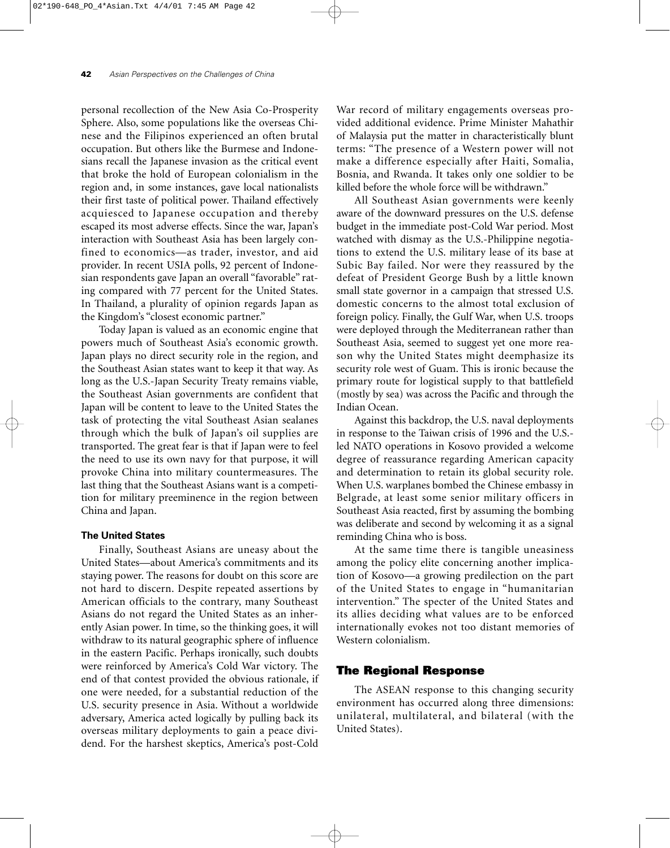personal recollection of the New Asia Co-Prosperity Sphere. Also, some populations like the overseas Chinese and the Filipinos experienced an often brutal occupation. But others like the Burmese and Indonesians recall the Japanese invasion as the critical event that broke the hold of European colonialism in the region and, in some instances, gave local nationalists their first taste of political power. Thailand effectively acquiesced to Japanese occupation and thereby escaped its most adverse effects. Since the war, Japan's interaction with Southeast Asia has been largely confined to economics—as trader, investor, and aid provider. In recent USIA polls, 92 percent of Indonesian respondents gave Japan an overall "favorable" rating compared with 77 percent for the United States. In Thailand, a plurality of opinion regards Japan as the Kingdom's "closest economic partner."

Today Japan is valued as an economic engine that powers much of Southeast Asia's economic growth. Japan plays no direct security role in the region, and the Southeast Asian states want to keep it that way. As long as the U.S.-Japan Security Treaty remains viable, the Southeast Asian governments are confident that Japan will be content to leave to the United States the task of protecting the vital Southeast Asian sealanes through which the bulk of Japan's oil supplies are transported. The great fear is that if Japan were to feel the need to use its own navy for that purpose, it will provoke China into military countermeasures. The last thing that the Southeast Asians want is a competition for military preeminence in the region between China and Japan.

# **The United States**

Finally, Southeast Asians are uneasy about the United States—about America's commitments and its staying power. The reasons for doubt on this score are not hard to discern. Despite repeated assertions by American officials to the contrary, many Southeast Asians do not regard the United States as an inherently Asian power. In time, so the thinking goes, it will withdraw to its natural geographic sphere of influence in the eastern Pacific. Perhaps ironically, such doubts were reinforced by America's Cold War victory. The end of that contest provided the obvious rationale, if one were needed, for a substantial reduction of the U.S. security presence in Asia. Without a worldwide adversary, America acted logically by pulling back its overseas military deployments to gain a peace dividend. For the harshest skeptics, America's post-Cold

War record of military engagements overseas provided additional evidence. Prime Minister Mahathir of Malaysia put the matter in characteristically blunt terms: "The presence of a Western power will not make a difference especially after Haiti, Somalia, Bosnia, and Rwanda. It takes only one soldier to be killed before the whole force will be withdrawn."

All Southeast Asian governments were keenly aware of the downward pressures on the U.S. defense budget in the immediate post-Cold War period. Most watched with dismay as the U.S.-Philippine negotiations to extend the U.S. military lease of its base at Subic Bay failed. Nor were they reassured by the defeat of President George Bush by a little known small state governor in a campaign that stressed U.S. domestic concerns to the almost total exclusion of foreign policy. Finally, the Gulf War, when U.S. troops were deployed through the Mediterranean rather than Southeast Asia, seemed to suggest yet one more reason why the United States might deemphasize its security role west of Guam. This is ironic because the primary route for logistical supply to that battlefield (mostly by sea) was across the Pacific and through the Indian Ocean.

Against this backdrop, the U.S. naval deployments in response to the Taiwan crisis of 1996 and the U.S. led NATO operations in Kosovo provided a welcome degree of reassurance regarding American capacity and determination to retain its global security role. When U.S. warplanes bombed the Chinese embassy in Belgrade, at least some senior military officers in Southeast Asia reacted, first by assuming the bombing was deliberate and second by welcoming it as a signal reminding China who is boss.

At the same time there is tangible uneasiness among the policy elite concerning another implication of Kosovo—a growing predilection on the part of the United States to engage in "humanitarian intervention." The specter of the United States and its allies deciding what values are to be enforced internationally evokes not too distant memories of Western colonialism.

## **The Regional Response**

The ASEAN response to this changing security environment has occurred along three dimensions: unilateral, multilateral, and bilateral (with the United States).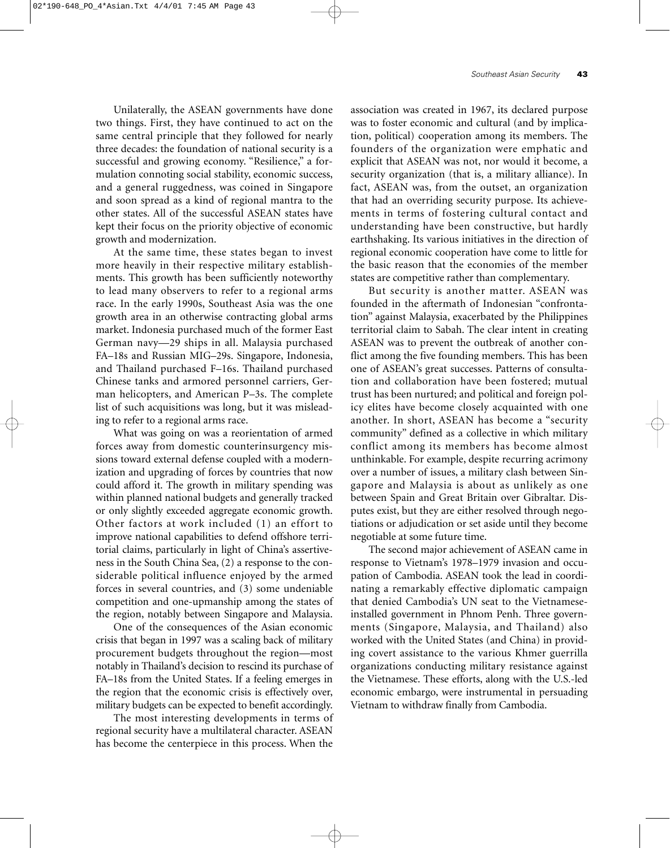Unilaterally, the ASEAN governments have done two things. First, they have continued to act on the same central principle that they followed for nearly three decades: the foundation of national security is a successful and growing economy. "Resilience," a formulation connoting social stability, economic success, and a general ruggedness, was coined in Singapore and soon spread as a kind of regional mantra to the other states. All of the successful ASEAN states have kept their focus on the priority objective of economic growth and modernization.

At the same time, these states began to invest more heavily in their respective military establishments. This growth has been sufficiently noteworthy to lead many observers to refer to a regional arms race. In the early 1990s, Southeast Asia was the one growth area in an otherwise contracting global arms market. Indonesia purchased much of the former East German navy—29 ships in all. Malaysia purchased FA–18s and Russian MIG–29s. Singapore, Indonesia, and Thailand purchased F–16s. Thailand purchased Chinese tanks and armored personnel carriers, German helicopters, and American P–3s. The complete list of such acquisitions was long, but it was misleading to refer to a regional arms race.

What was going on was a reorientation of armed forces away from domestic counterinsurgency missions toward external defense coupled with a modernization and upgrading of forces by countries that now could afford it. The growth in military spending was within planned national budgets and generally tracked or only slightly exceeded aggregate economic growth. Other factors at work included (1) an effort to improve national capabilities to defend offshore territorial claims, particularly in light of China's assertiveness in the South China Sea, (2) a response to the considerable political influence enjoyed by the armed forces in several countries, and (3) some undeniable competition and one-upmanship among the states of the region, notably between Singapore and Malaysia.

One of the consequences of the Asian economic crisis that began in 1997 was a scaling back of military procurement budgets throughout the region—most notably in Thailand's decision to rescind its purchase of FA–18s from the United States. If a feeling emerges in the region that the economic crisis is effectively over, military budgets can be expected to benefit accordingly.

The most interesting developments in terms of regional security have a multilateral character. ASEAN has become the centerpiece in this process. When the

association was created in 1967, its declared purpose was to foster economic and cultural (and by implication, political) cooperation among its members. The founders of the organization were emphatic and explicit that ASEAN was not, nor would it become, a security organization (that is, a military alliance). In fact, ASEAN was, from the outset, an organization that had an overriding security purpose. Its achievements in terms of fostering cultural contact and understanding have been constructive, but hardly earthshaking. Its various initiatives in the direction of regional economic cooperation have come to little for the basic reason that the economies of the member states are competitive rather than complementary.

But security is another matter. ASEAN was founded in the aftermath of Indonesian "confrontation" against Malaysia, exacerbated by the Philippines territorial claim to Sabah. The clear intent in creating ASEAN was to prevent the outbreak of another conflict among the five founding members. This has been one of ASEAN's great successes. Patterns of consultation and collaboration have been fostered; mutual trust has been nurtured; and political and foreign policy elites have become closely acquainted with one another. In short, ASEAN has become a "security community" defined as a collective in which military conflict among its members has become almost unthinkable. For example, despite recurring acrimony over a number of issues, a military clash between Singapore and Malaysia is about as unlikely as one between Spain and Great Britain over Gibraltar. Disputes exist, but they are either resolved through negotiations or adjudication or set aside until they become negotiable at some future time.

The second major achievement of ASEAN came in response to Vietnam's 1978–1979 invasion and occupation of Cambodia. ASEAN took the lead in coordinating a remarkably effective diplomatic campaign that denied Cambodia's UN seat to the Vietnameseinstalled government in Phnom Penh. Three governments (Singapore, Malaysia, and Thailand) also worked with the United States (and China) in providing covert assistance to the various Khmer guerrilla organizations conducting military resistance against the Vietnamese. These efforts, along with the U.S.-led economic embargo, were instrumental in persuading Vietnam to withdraw finally from Cambodia.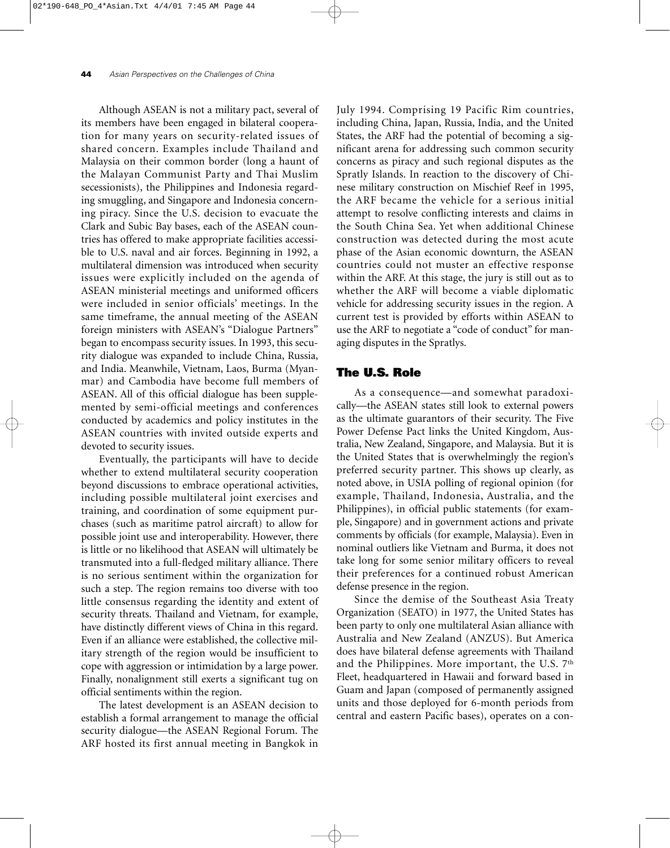Although ASEAN is not a military pact, several of its members have been engaged in bilateral cooperation for many years on security-related issues of shared concern. Examples include Thailand and Malaysia on their common border (long a haunt of the Malayan Communist Party and Thai Muslim secessionists), the Philippines and Indonesia regarding smuggling, and Singapore and Indonesia concerning piracy. Since the U.S. decision to evacuate the Clark and Subic Bay bases, each of the ASEAN countries has offered to make appropriate facilities accessible to U.S. naval and air forces. Beginning in 1992, a multilateral dimension was introduced when security issues were explicitly included on the agenda of ASEAN ministerial meetings and uniformed officers were included in senior officials' meetings. In the same timeframe, the annual meeting of the ASEAN foreign ministers with ASEAN's "Dialogue Partners" began to encompass security issues. In 1993, this security dialogue was expanded to include China, Russia, and India. Meanwhile, Vietnam, Laos, Burma (Myanmar) and Cambodia have become full members of ASEAN. All of this official dialogue has been supplemented by semi-official meetings and conferences conducted by academics and policy institutes in the ASEAN countries with invited outside experts and devoted to security issues.

Eventually, the participants will have to decide whether to extend multilateral security cooperation beyond discussions to embrace operational activities, including possible multilateral joint exercises and training, and coordination of some equipment purchases (such as maritime patrol aircraft) to allow for possible joint use and interoperability. However, there is little or no likelihood that ASEAN will ultimately be transmuted into a full-fledged military alliance. There is no serious sentiment within the organization for such a step. The region remains too diverse with too little consensus regarding the identity and extent of security threats. Thailand and Vietnam, for example, have distinctly different views of China in this regard. Even if an alliance were established, the collective military strength of the region would be insufficient to cope with aggression or intimidation by a large power. Finally, nonalignment still exerts a significant tug on official sentiments within the region.

The latest development is an ASEAN decision to establish a formal arrangement to manage the official security dialogue—the ASEAN Regional Forum. The ARF hosted its first annual meeting in Bangkok in July 1994. Comprising 19 Pacific Rim countries, including China, Japan, Russia, India, and the United States, the ARF had the potential of becoming a significant arena for addressing such common security concerns as piracy and such regional disputes as the Spratly Islands. In reaction to the discovery of Chinese military construction on Mischief Reef in 1995, the ARF became the vehicle for a serious initial attempt to resolve conflicting interests and claims in the South China Sea. Yet when additional Chinese construction was detected during the most acute phase of the Asian economic downturn, the ASEAN countries could not muster an effective response within the ARF. At this stage, the jury is still out as to whether the ARF will become a viable diplomatic vehicle for addressing security issues in the region. A current test is provided by efforts within ASEAN to use the ARF to negotiate a "code of conduct" for managing disputes in the Spratlys.

# **The U.S. Role**

As a consequence—and somewhat paradoxically—the ASEAN states still look to external powers as the ultimate guarantors of their security. The Five Power Defense Pact links the United Kingdom, Australia, New Zealand, Singapore, and Malaysia. But it is the United States that is overwhelmingly the region's preferred security partner. This shows up clearly, as noted above, in USIA polling of regional opinion (for example, Thailand, Indonesia, Australia, and the Philippines), in official public statements (for example, Singapore) and in government actions and private comments by officials (for example, Malaysia). Even in nominal outliers like Vietnam and Burma, it does not take long for some senior military officers to reveal their preferences for a continued robust American defense presence in the region.

Since the demise of the Southeast Asia Treaty Organization (SEATO) in 1977, the United States has been party to only one multilateral Asian alliance with Australia and New Zealand (ANZUS). But America does have bilateral defense agreements with Thailand and the Philippines. More important, the U.S. 7<sup>th</sup> Fleet, headquartered in Hawaii and forward based in Guam and Japan (composed of permanently assigned units and those deployed for 6-month periods from central and eastern Pacific bases), operates on a con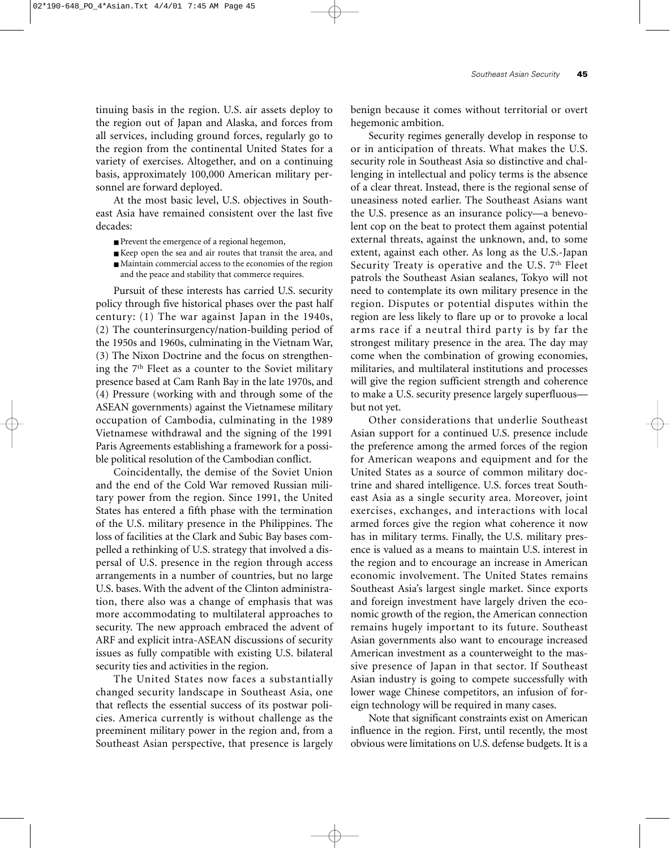tinuing basis in the region. U.S. air assets deploy to the region out of Japan and Alaska, and forces from all services, including ground forces, regularly go to the region from the continental United States for a variety of exercises. Altogether, and on a continuing basis, approximately 100,000 American military personnel are forward deployed.

At the most basic level, U.S. objectives in Southeast Asia have remained consistent over the last five decades:

- Prevent the emergence of a regional hegemon,
- Keep open the sea and air routes that transit the area, and
- Maintain commercial access to the economies of the region and the peace and stability that commerce requires.

Pursuit of these interests has carried U.S. security policy through five historical phases over the past half century: (1) The war against Japan in the 1940s, (2) The counterinsurgency/nation-building period of the 1950s and 1960s, culminating in the Vietnam War, (3) The Nixon Doctrine and the focus on strengthening the 7th Fleet as a counter to the Soviet military presence based at Cam Ranh Bay in the late 1970s, and (4) Pressure (working with and through some of the ASEAN governments) against the Vietnamese military occupation of Cambodia, culminating in the 1989 Vietnamese withdrawal and the signing of the 1991 Paris Agreements establishing a framework for a possible political resolution of the Cambodian conflict.

Coincidentally, the demise of the Soviet Union and the end of the Cold War removed Russian military power from the region. Since 1991, the United States has entered a fifth phase with the termination of the U.S. military presence in the Philippines. The loss of facilities at the Clark and Subic Bay bases compelled a rethinking of U.S. strategy that involved a dispersal of U.S. presence in the region through access arrangements in a number of countries, but no large U.S. bases. With the advent of the Clinton administration, there also was a change of emphasis that was more accommodating to multilateral approaches to security. The new approach embraced the advent of ARF and explicit intra-ASEAN discussions of security issues as fully compatible with existing U.S. bilateral security ties and activities in the region.

The United States now faces a substantially changed security landscape in Southeast Asia, one that reflects the essential success of its postwar policies. America currently is without challenge as the preeminent military power in the region and, from a Southeast Asian perspective, that presence is largely

benign because it comes without territorial or overt hegemonic ambition.

Security regimes generally develop in response to or in anticipation of threats. What makes the U.S. security role in Southeast Asia so distinctive and challenging in intellectual and policy terms is the absence of a clear threat. Instead, there is the regional sense of uneasiness noted earlier. The Southeast Asians want the U.S. presence as an insurance policy—a benevolent cop on the beat to protect them against potential external threats, against the unknown, and, to some extent, against each other. As long as the U.S.-Japan Security Treaty is operative and the U.S.  $7<sup>th</sup>$  Fleet patrols the Southeast Asian sealanes, Tokyo will not need to contemplate its own military presence in the region. Disputes or potential disputes within the region are less likely to flare up or to provoke a local arms race if a neutral third party is by far the strongest military presence in the area. The day may come when the combination of growing economies, militaries, and multilateral institutions and processes will give the region sufficient strength and coherence to make a U.S. security presence largely superfluous but not yet.

Other considerations that underlie Southeast Asian support for a continued U.S. presence include the preference among the armed forces of the region for American weapons and equipment and for the United States as a source of common military doctrine and shared intelligence. U.S. forces treat Southeast Asia as a single security area. Moreover, joint exercises, exchanges, and interactions with local armed forces give the region what coherence it now has in military terms. Finally, the U.S. military presence is valued as a means to maintain U.S. interest in the region and to encourage an increase in American economic involvement. The United States remains Southeast Asia's largest single market. Since exports and foreign investment have largely driven the economic growth of the region, the American connection remains hugely important to its future. Southeast Asian governments also want to encourage increased American investment as a counterweight to the massive presence of Japan in that sector. If Southeast Asian industry is going to compete successfully with lower wage Chinese competitors, an infusion of foreign technology will be required in many cases.

Note that significant constraints exist on American influence in the region. First, until recently, the most obvious were limitations on U.S. defense budgets. It is a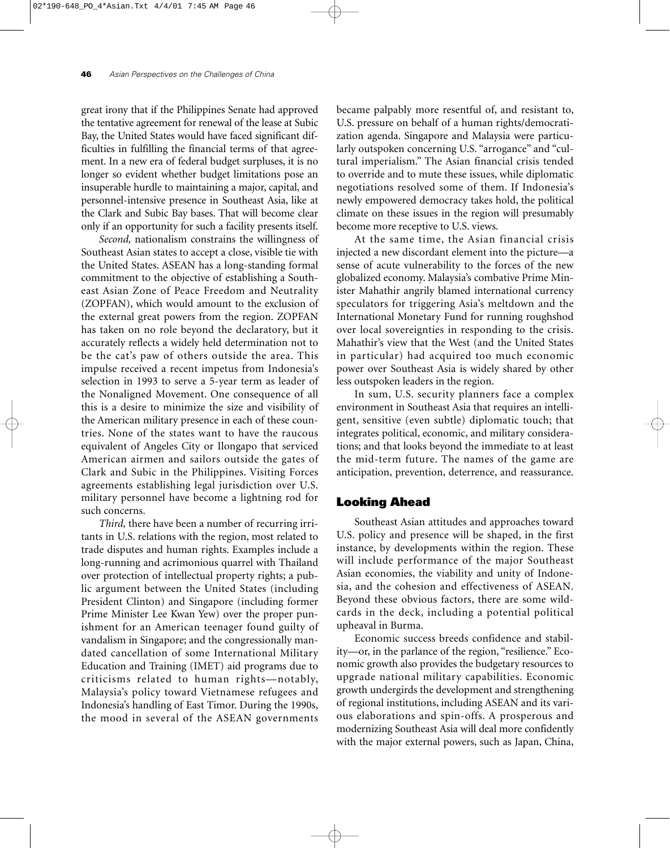great irony that if the Philippines Senate had approved the tentative agreement for renewal of the lease at Subic Bay, the United States would have faced significant difficulties in fulfilling the financial terms of that agreement. In a new era of federal budget surpluses, it is no longer so evident whether budget limitations pose an insuperable hurdle to maintaining a major, capital, and personnel-intensive presence in Southeast Asia, like at the Clark and Subic Bay bases. That will become clear only if an opportunity for such a facility presents itself.

*Second,* nationalism constrains the willingness of Southeast Asian states to accept a close, visible tie with the United States. ASEAN has a long-standing formal commitment to the objective of establishing a Southeast Asian Zone of Peace Freedom and Neutrality (ZOPFAN), which would amount to the exclusion of the external great powers from the region. ZOPFAN has taken on no role beyond the declaratory, but it accurately reflects a widely held determination not to be the cat's paw of others outside the area. This impulse received a recent impetus from Indonesia's selection in 1993 to serve a 5-year term as leader of the Nonaligned Movement. One consequence of all this is a desire to minimize the size and visibility of the American military presence in each of these countries. None of the states want to have the raucous equivalent of Angeles City or Ilongapo that serviced American airmen and sailors outside the gates of Clark and Subic in the Philippines. Visiting Forces agreements establishing legal jurisdiction over U.S. military personnel have become a lightning rod for such concerns.

*Third,* there have been a number of recurring irritants in U.S. relations with the region, most related to trade disputes and human rights. Examples include a long-running and acrimonious quarrel with Thailand over protection of intellectual property rights; a public argument between the United States (including President Clinton) and Singapore (including former Prime Minister Lee Kwan Yew) over the proper punishment for an American teenager found guilty of vandalism in Singapore; and the congressionally mandated cancellation of some International Military Education and Training (IMET) aid programs due to criticisms related to human rights—notably, Malaysia's policy toward Vietnamese refugees and Indonesia's handling of East Timor. During the 1990s, the mood in several of the ASEAN governments

became palpably more resentful of, and resistant to, U.S. pressure on behalf of a human rights/democratization agenda. Singapore and Malaysia were particularly outspoken concerning U.S. "arrogance" and "cultural imperialism." The Asian financial crisis tended to override and to mute these issues, while diplomatic negotiations resolved some of them. If Indonesia's newly empowered democracy takes hold, the political climate on these issues in the region will presumably become more receptive to U.S. views.

At the same time, the Asian financial crisis injected a new discordant element into the picture—a sense of acute vulnerability to the forces of the new globalized economy. Malaysia's combative Prime Minister Mahathir angrily blamed international currency speculators for triggering Asia's meltdown and the International Monetary Fund for running roughshod over local sovereignties in responding to the crisis. Mahathir's view that the West (and the United States in particular) had acquired too much economic power over Southeast Asia is widely shared by other less outspoken leaders in the region.

In sum, U.S. security planners face a complex environment in Southeast Asia that requires an intelligent, sensitive (even subtle) diplomatic touch; that integrates political, economic, and military considerations; and that looks beyond the immediate to at least the mid-term future. The names of the game are anticipation, prevention, deterrence, and reassurance.

# **Looking Ahead**

Southeast Asian attitudes and approaches toward U.S. policy and presence will be shaped, in the first instance, by developments within the region. These will include performance of the major Southeast Asian economies, the viability and unity of Indonesia, and the cohesion and effectiveness of ASEAN. Beyond these obvious factors, there are some wildcards in the deck, including a potential political upheaval in Burma.

Economic success breeds confidence and stability—or, in the parlance of the region, "resilience." Economic growth also provides the budgetary resources to upgrade national military capabilities. Economic growth undergirds the development and strengthening of regional institutions, including ASEAN and its various elaborations and spin-offs. A prosperous and modernizing Southeast Asia will deal more confidently with the major external powers, such as Japan, China,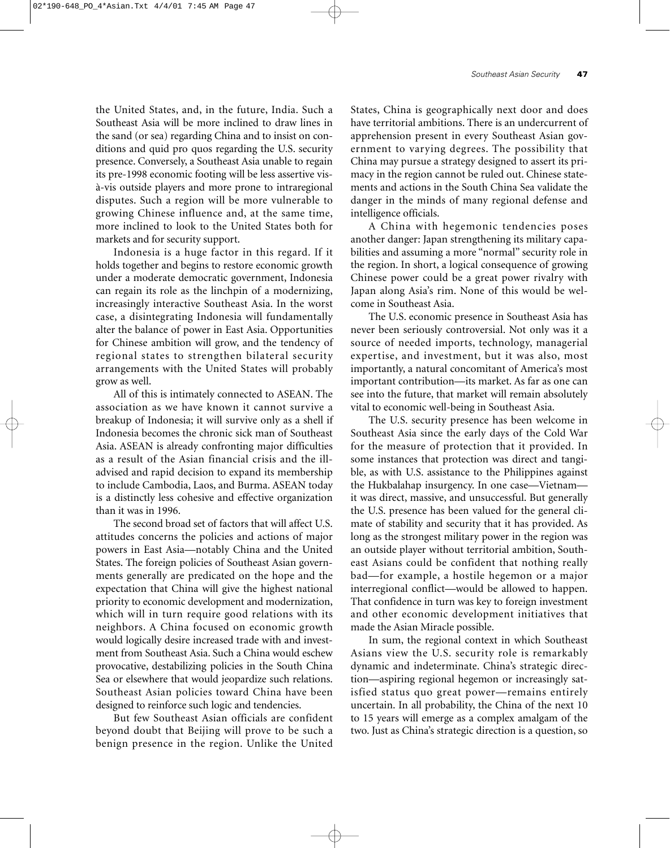the United States, and, in the future, India. Such a Southeast Asia will be more inclined to draw lines in the sand (or sea) regarding China and to insist on conditions and quid pro quos regarding the U.S. security presence. Conversely, a Southeast Asia unable to regain its pre-1998 economic footing will be less assertive visà-vis outside players and more prone to intraregional disputes. Such a region will be more vulnerable to growing Chinese influence and, at the same time, more inclined to look to the United States both for markets and for security support.

Indonesia is a huge factor in this regard. If it holds together and begins to restore economic growth under a moderate democratic government, Indonesia can regain its role as the linchpin of a modernizing, increasingly interactive Southeast Asia. In the worst case, a disintegrating Indonesia will fundamentally alter the balance of power in East Asia. Opportunities for Chinese ambition will grow, and the tendency of regional states to strengthen bilateral security arrangements with the United States will probably grow as well.

All of this is intimately connected to ASEAN. The association as we have known it cannot survive a breakup of Indonesia; it will survive only as a shell if Indonesia becomes the chronic sick man of Southeast Asia. ASEAN is already confronting major difficulties as a result of the Asian financial crisis and the illadvised and rapid decision to expand its membership to include Cambodia, Laos, and Burma. ASEAN today is a distinctly less cohesive and effective organization than it was in 1996.

The second broad set of factors that will affect U.S. attitudes concerns the policies and actions of major powers in East Asia—notably China and the United States. The foreign policies of Southeast Asian governments generally are predicated on the hope and the expectation that China will give the highest national priority to economic development and modernization, which will in turn require good relations with its neighbors. A China focused on economic growth would logically desire increased trade with and investment from Southeast Asia. Such a China would eschew provocative, destabilizing policies in the South China Sea or elsewhere that would jeopardize such relations. Southeast Asian policies toward China have been designed to reinforce such logic and tendencies.

But few Southeast Asian officials are confident beyond doubt that Beijing will prove to be such a benign presence in the region. Unlike the United

States, China is geographically next door and does have territorial ambitions. There is an undercurrent of apprehension present in every Southeast Asian government to varying degrees. The possibility that China may pursue a strategy designed to assert its primacy in the region cannot be ruled out. Chinese statements and actions in the South China Sea validate the danger in the minds of many regional defense and intelligence officials.

A China with hegemonic tendencies poses another danger: Japan strengthening its military capabilities and assuming a more "normal" security role in the region. In short, a logical consequence of growing Chinese power could be a great power rivalry with Japan along Asia's rim. None of this would be welcome in Southeast Asia.

The U.S. economic presence in Southeast Asia has never been seriously controversial. Not only was it a source of needed imports, technology, managerial expertise, and investment, but it was also, most importantly, a natural concomitant of America's most important contribution—its market. As far as one can see into the future, that market will remain absolutely vital to economic well-being in Southeast Asia.

The U.S. security presence has been welcome in Southeast Asia since the early days of the Cold War for the measure of protection that it provided. In some instances that protection was direct and tangible, as with U.S. assistance to the Philippines against the Hukbalahap insurgency. In one case—Vietnam it was direct, massive, and unsuccessful. But generally the U.S. presence has been valued for the general climate of stability and security that it has provided. As long as the strongest military power in the region was an outside player without territorial ambition, Southeast Asians could be confident that nothing really bad—for example, a hostile hegemon or a major interregional conflict—would be allowed to happen. That confidence in turn was key to foreign investment and other economic development initiatives that made the Asian Miracle possible.

In sum, the regional context in which Southeast Asians view the U.S. security role is remarkably dynamic and indeterminate. China's strategic direction—aspiring regional hegemon or increasingly satisfied status quo great power—remains entirely uncertain. In all probability, the China of the next 10 to 15 years will emerge as a complex amalgam of the two. Just as China's strategic direction is a question, so